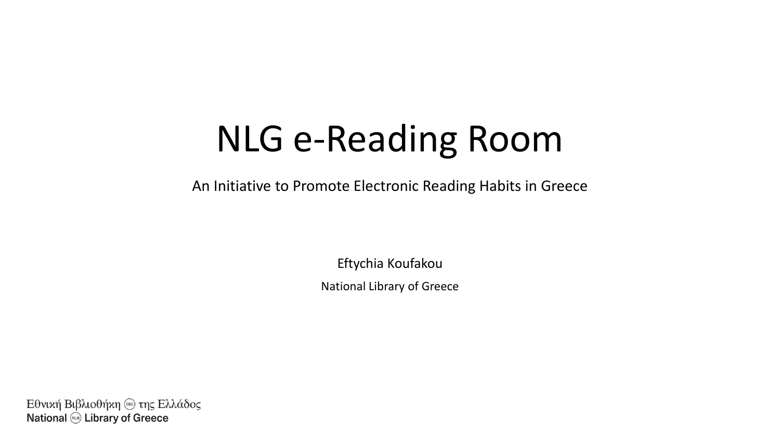## NLG e-Reading Room

An Initiative to Promote Electronic Reading Habits in Greece

Eftychia Koufakou National Library of Greece

Εθνική Βιβλιοθήκη (ΕΒΕ) της Ελλάδος **National (NLG)** Library of Greece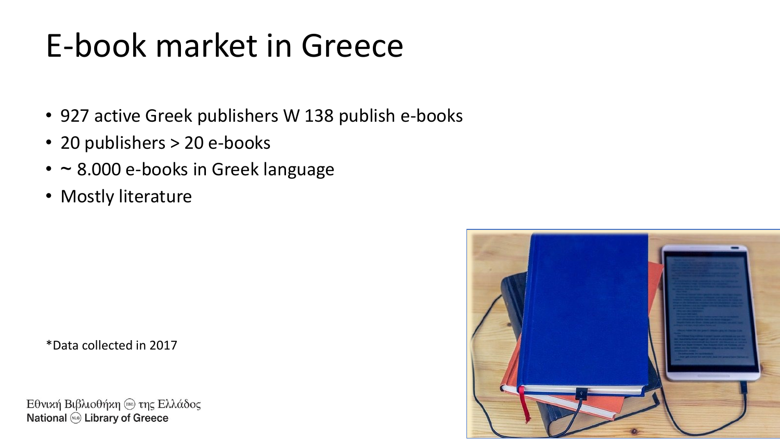### E-book market in Greece

- 927 active Greek publishers W 138 publish e-books
- 20 publishers > 20 e-books
- ~ 8.000 e-books in Greek language
- Mostly literature

\*Data collected in 2017

Εθνική Βιβλιοθήκη (ΕΒΕ) της Ελλάδος **National** *(NLG***)** Library of Greece

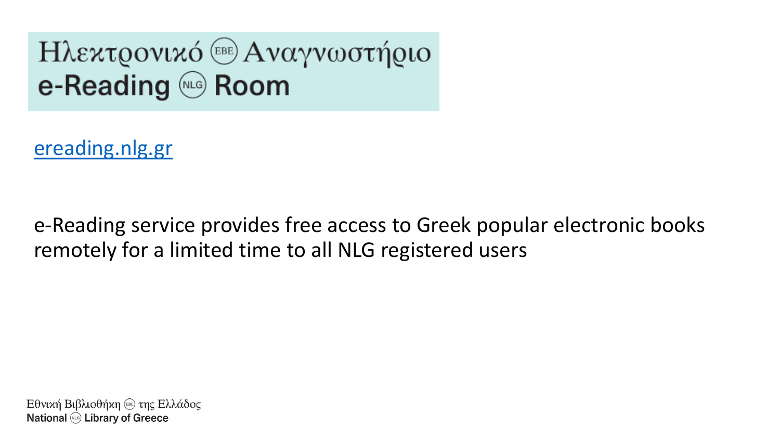#### **Ηλεκτρονικό** <sup>(ΕΒΕ)</sup> Αναγνωστήριο e-Reading @ Room

[ereading.nlg.gr](https://ereading.nlg.gr/el/) 

e-Reading service provides free access to Greek popular electronic books remotely for a limited time to all NLG registered users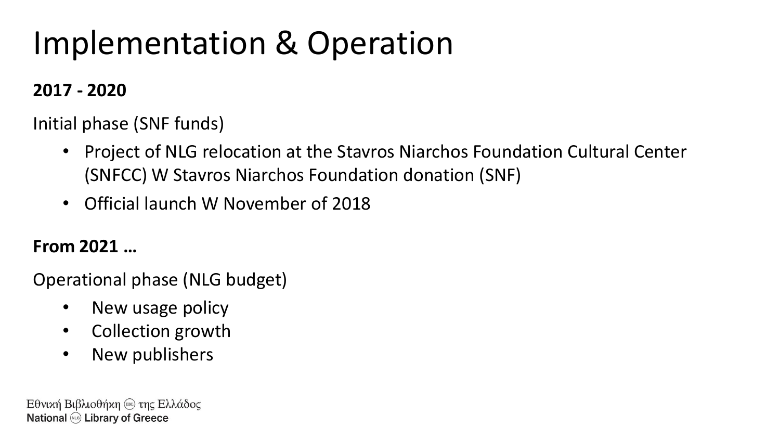### Implementation & Operation

#### **2017 - 2020**

Initial phase (SNF funds)

- Project of NLG relocation at the Stavros Niarchos Foundation Cultural Center (SNFCC) W Stavros Niarchos Foundation donation (SNF)
- Official launch W November of 2018

#### **From 2021 …**

Operational phase (NLG budget)

- New usage policy
- Collection growth
- New publishers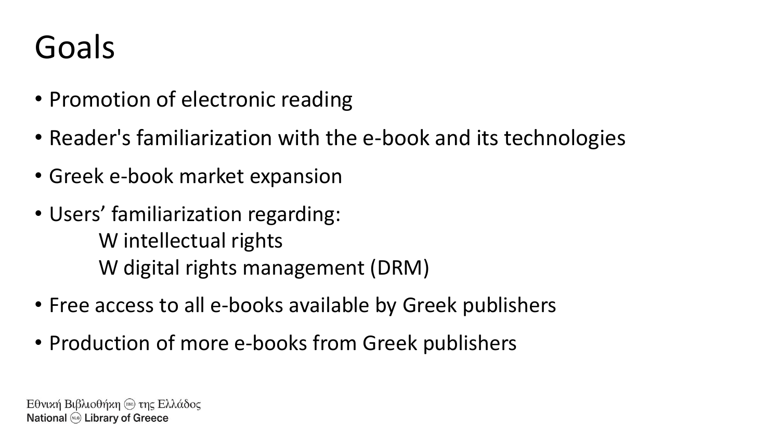### Goals

- Promotion of electronic reading
- Reader's familiarization with the e-book and its technologies
- Greek e-book market expansion
- Users' familiarization regarding: W intellectual rights W digital rights management (DRM)
- Free access to all e-books available by Greek publishers
- Production of more e-books from Greek publishers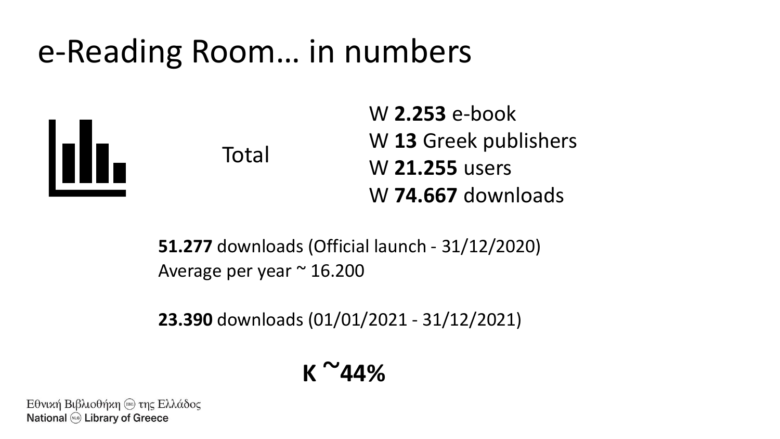#### e-Reading Room… in numbers





W **2.253** e-book W **13** Greek publishers W **21.255** users W **74.667** downloads

**51.277** downloads (Official launch - 31/12/2020) Average per year  $\approx$  16.200

**23.390** downloads (01/01/2021 - 31/12/2021)

$$
\kappa \sim 44\%
$$

Εθνική Βιβλιοθήκη (ΕΒΕ) της Ελλάδος **National @ Library of Greece**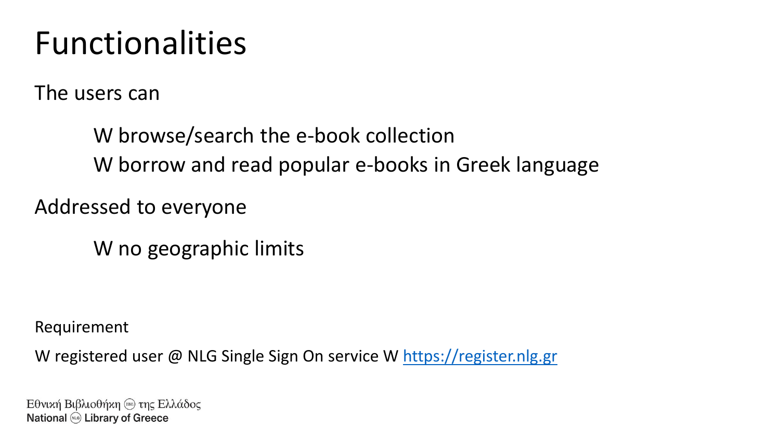#### Functionalities

The users can

W browse/search the e-book collection W borrow and read popular e-books in Greek language

Addressed to everyone

W no geographic limits

Requirement

W registered user @ NLG Single Sign On service W [https://register.nlg.gr](https://register.nlg.gr/)

Εθνική Βιβλιοθήκη (ΕΒΕ) της Ελλάδος **National @ Library of Greece**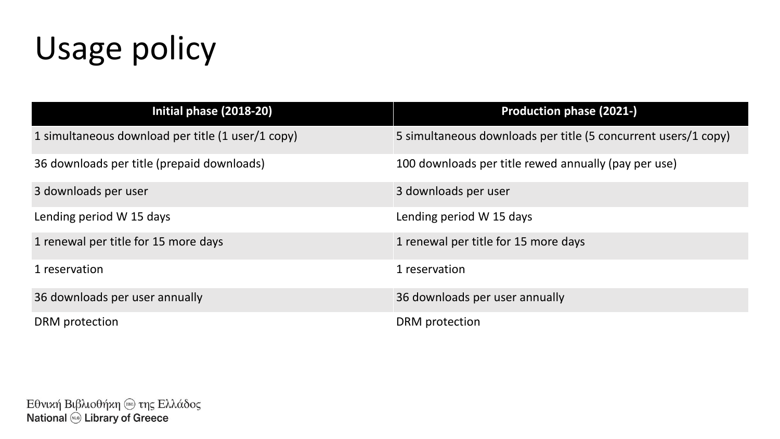### Usage policy

| Initial phase (2018-20)                           | <b>Production phase (2021-)</b>                                |
|---------------------------------------------------|----------------------------------------------------------------|
| 1 simultaneous download per title (1 user/1 copy) | 5 simultaneous downloads per title (5 concurrent users/1 copy) |
| 36 downloads per title (prepaid downloads)        | 100 downloads per title rewed annually (pay per use)           |
| 3 downloads per user                              | 3 downloads per user                                           |
| Lending period W 15 days                          | Lending period W 15 days                                       |
| 1 renewal per title for 15 more days              | 1 renewal per title for 15 more days                           |
| 1 reservation                                     | 1 reservation                                                  |
| 36 downloads per user annually                    | 36 downloads per user annually                                 |
| DRM protection                                    | DRM protection                                                 |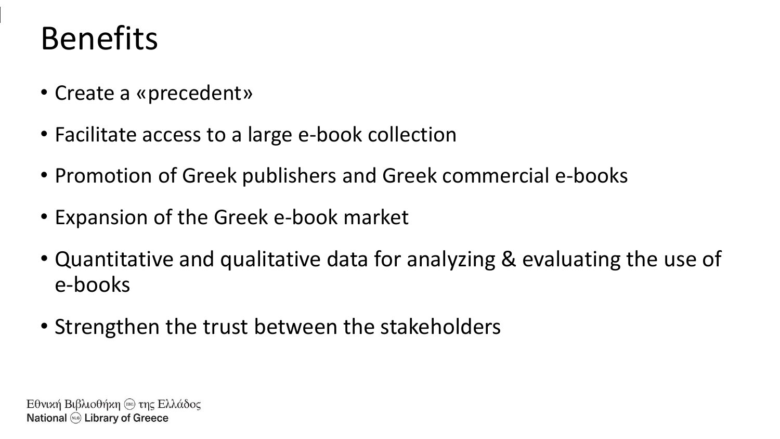#### Benefits

- Create a «precedent»
- Facilitate access to a large e-book collection
- Promotion of Greek publishers and Greek commercial e-books
- Expansion of the Greek e-book market
- Quantitative and qualitative data for analyzing & evaluating the use of e-books
- Strengthen the trust between the stakeholders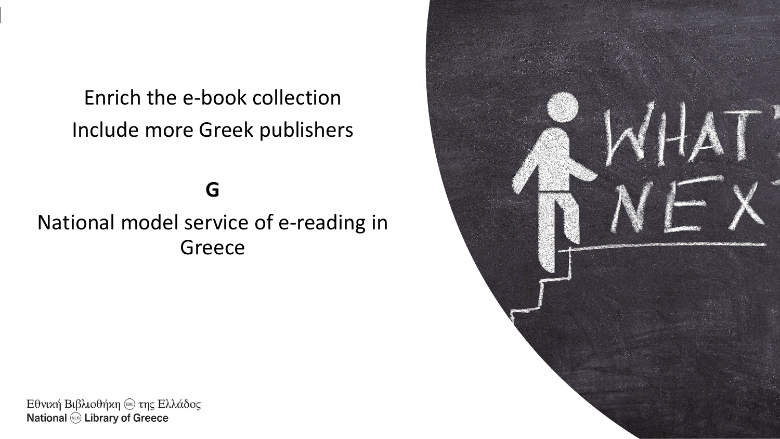Enrich the e-book collection Include more Greek publishers

#### **G**

#### National model service of e-reading in Greece